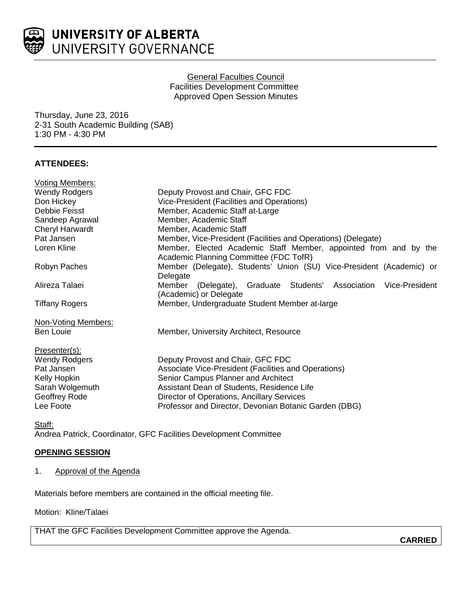

General Faculties Council Facilities Development Committee Approved Open Session Minutes

Thursday, June 23, 2016 2-31 South Academic Building (SAB) 1:30 PM - 4:30 PM

# **ATTENDEES:**

| <b>Voting Members:</b> |                                                                      |
|------------------------|----------------------------------------------------------------------|
| <b>Wendy Rodgers</b>   | Deputy Provost and Chair, GFC FDC                                    |
| Don Hickey             | Vice-President (Facilities and Operations)                           |
| Debbie Feisst          | Member, Academic Staff at-Large                                      |
| Sandeep Agrawal        | Member, Academic Staff                                               |
| <b>Cheryl Harwardt</b> | Member, Academic Staff                                               |
| Pat Jansen             | Member, Vice-President (Facilities and Operations) (Delegate)        |
| Loren Kline            | Member, Elected Academic Staff Member, appointed from and by the     |
|                        | Academic Planning Committee (FDC TofR)                               |
| Robyn Paches           | Member (Delegate), Students' Union (SU) Vice-President (Academic) or |
|                        | Delegate                                                             |
| Alireza Talaei         | (Delegate), Graduate Students' Association Vice-President<br>Member  |
|                        | (Academic) or Delegate                                               |
| <b>Tiffany Rogers</b>  | Member, Undergraduate Student Member at-large                        |
| Non-Voting Members:    |                                                                      |
| Ben Louie              | Member, University Architect, Resource                               |
| Presenter(s):          |                                                                      |
| <b>Wendy Rodgers</b>   | Deputy Provost and Chair, GFC FDC                                    |
| Pat Jansen             | Associate Vice-President (Facilities and Operations)                 |
| Kelly Hopkin           | Senior Campus Planner and Architect                                  |
| Sarah Wolgemuth        | Assistant Dean of Students, Residence Life                           |
| Geoffrey Rode          | Director of Operations, Ancillary Services                           |
| Lee Foote              | Professor and Director, Devonian Botanic Garden (DBG)                |
| Staff:                 |                                                                      |

Andrea Patrick, Coordinator, GFC Facilities Development Committee

### **OPENING SESSION**

1. Approval of the Agenda

Materials before members are contained in the official meeting file.

Motion: Kline/Talaei

THAT the GFC Facilities Development Committee approve the Agenda.

**CARRIED**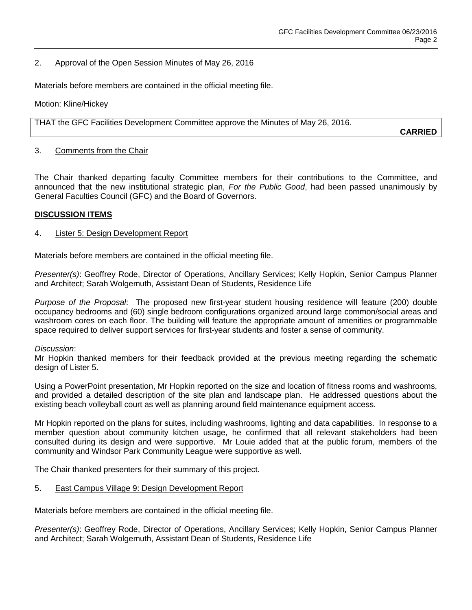### 2. Approval of the Open Session Minutes of May 26, 2016

Materials before members are contained in the official meeting file.

Motion: Kline/Hickey

THAT the GFC Facilities Development Committee approve the Minutes of May 26, 2016.

**CARRIED**

### 3. Comments from the Chair

The Chair thanked departing faculty Committee members for their contributions to the Committee, and announced that the new institutional strategic plan, *For the Public Good*, had been passed unanimously by General Faculties Council (GFC) and the Board of Governors.

#### **DISCUSSION ITEMS**

#### 4. Lister 5: Design Development Report

Materials before members are contained in the official meeting file.

*Presenter(s)*: Geoffrey Rode, Director of Operations, Ancillary Services; Kelly Hopkin, Senior Campus Planner and Architect; Sarah Wolgemuth, Assistant Dean of Students, Residence Life

*Purpose of the Proposal*: The proposed new first-year student housing residence will feature (200) double occupancy bedrooms and (60) single bedroom configurations organized around large common/social areas and washroom cores on each floor. The building will feature the appropriate amount of amenities or programmable space required to deliver support services for first-year students and foster a sense of community.

#### *Discussion*:

Mr Hopkin thanked members for their feedback provided at the previous meeting regarding the schematic design of Lister 5.

Using a PowerPoint presentation, Mr Hopkin reported on the size and location of fitness rooms and washrooms, and provided a detailed description of the site plan and landscape plan. He addressed questions about the existing beach volleyball court as well as planning around field maintenance equipment access.

Mr Hopkin reported on the plans for suites, including washrooms, lighting and data capabilities. In response to a member question about community kitchen usage, he confirmed that all relevant stakeholders had been consulted during its design and were supportive. Mr Louie added that at the public forum, members of the community and Windsor Park Community League were supportive as well.

The Chair thanked presenters for their summary of this project.

### 5. East Campus Village 9: Design Development Report

Materials before members are contained in the official meeting file.

*Presenter(s)*: Geoffrey Rode, Director of Operations, Ancillary Services; Kelly Hopkin, Senior Campus Planner and Architect; Sarah Wolgemuth, Assistant Dean of Students, Residence Life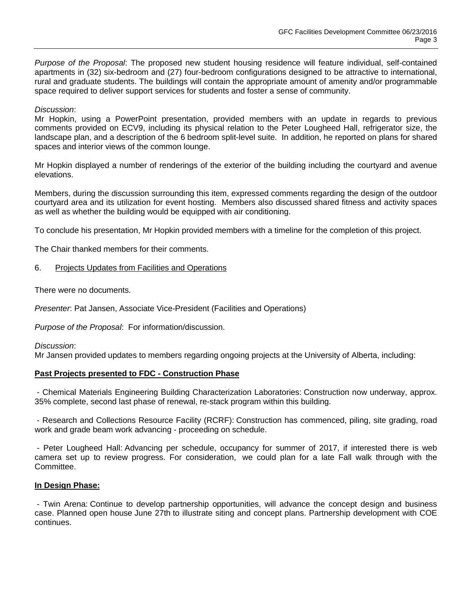*Purpose of the Proposal*: The proposed new student housing residence will feature individual, self-contained apartments in (32) six-bedroom and (27) four-bedroom configurations designed to be attractive to international, rural and graduate students. The buildings will contain the appropriate amount of amenity and/or programmable space required to deliver support services for students and foster a sense of community.

### *Discussion*:

Mr Hopkin, using a PowerPoint presentation, provided members with an update in regards to previous comments provided on ECV9, including its physical relation to the Peter Lougheed Hall, refrigerator size, the landscape plan, and a description of the 6 bedroom split-level suite. In addition, he reported on plans for shared spaces and interior views of the common lounge.

Mr Hopkin displayed a number of renderings of the exterior of the building including the courtyard and avenue elevations.

Members, during the discussion surrounding this item, expressed comments regarding the design of the outdoor courtyard area and its utilization for event hosting. Members also discussed shared fitness and activity spaces as well as whether the building would be equipped with air conditioning.

To conclude his presentation, Mr Hopkin provided members with a timeline for the completion of this project.

The Chair thanked members for their comments.

## 6. Projects Updates from Facilities and Operations

There were no documents.

*Presenter*: Pat Jansen, Associate Vice-President (Facilities and Operations)

*Purpose of the Proposal*: For information/discussion.

*Discussion*:

Mr Jansen provided updates to members regarding ongoing projects at the University of Alberta, including:

# **Past Projects presented to FDC - Construction Phase**

- Chemical Materials Engineering Building Characterization Laboratories: Construction now underway, approx. 35% complete, second last phase of renewal, re-stack program within this building.

- Research and Collections Resource Facility (RCRF): Construction has commenced, piling, site grading, road work and grade beam work advancing - proceeding on schedule.

- Peter Lougheed Hall: Advancing per schedule, occupancy for summer of 2017, if interested there is web camera set up to review progress. For consideration, we could plan for a late Fall walk through with the Committee.

### **In Design Phase:**

- Twin Arena: Continue to develop partnership opportunities, will advance the concept design and business case. Planned open house June 27th to illustrate siting and concept plans. Partnership development with COE continues.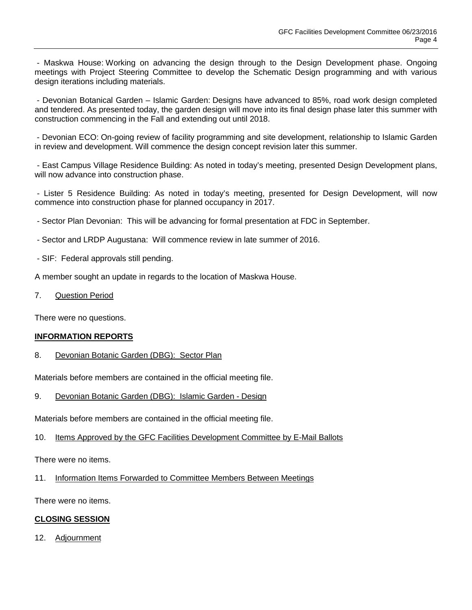- Maskwa House: Working on advancing the design through to the Design Development phase. Ongoing meetings with Project Steering Committee to develop the Schematic Design programming and with various design iterations including materials.

- Devonian Botanical Garden – Islamic Garden: Designs have advanced to 85%, road work design completed and tendered. As presented today, the garden design will move into its final design phase later this summer with construction commencing in the Fall and extending out until 2018.

- Devonian ECO: On-going review of facility programming and site development, relationship to Islamic Garden in review and development. Will commence the design concept revision later this summer.

- East Campus Village Residence Building: As noted in today's meeting, presented Design Development plans, will now advance into construction phase.

- Lister 5 Residence Building: As noted in today's meeting, presented for Design Development, will now commence into construction phase for planned occupancy in 2017.

- Sector Plan Devonian: This will be advancing for formal presentation at FDC in September.

- Sector and LRDP Augustana: Will commence review in late summer of 2016.
- SIF: Federal approvals still pending.

A member sought an update in regards to the location of Maskwa House.

#### 7. Question Period

There were no questions.

### **INFORMATION REPORTS**

8. Devonian Botanic Garden (DBG): Sector Plan

Materials before members are contained in the official meeting file.

9. Devonian Botanic Garden (DBG): Islamic Garden - Design

Materials before members are contained in the official meeting file.

10. Items Approved by the GFC Facilities Development Committee by E-Mail Ballots

There were no items.

11. Information Items Forwarded to Committee Members Between Meetings

There were no items.

#### **CLOSING SESSION**

12. Adjournment